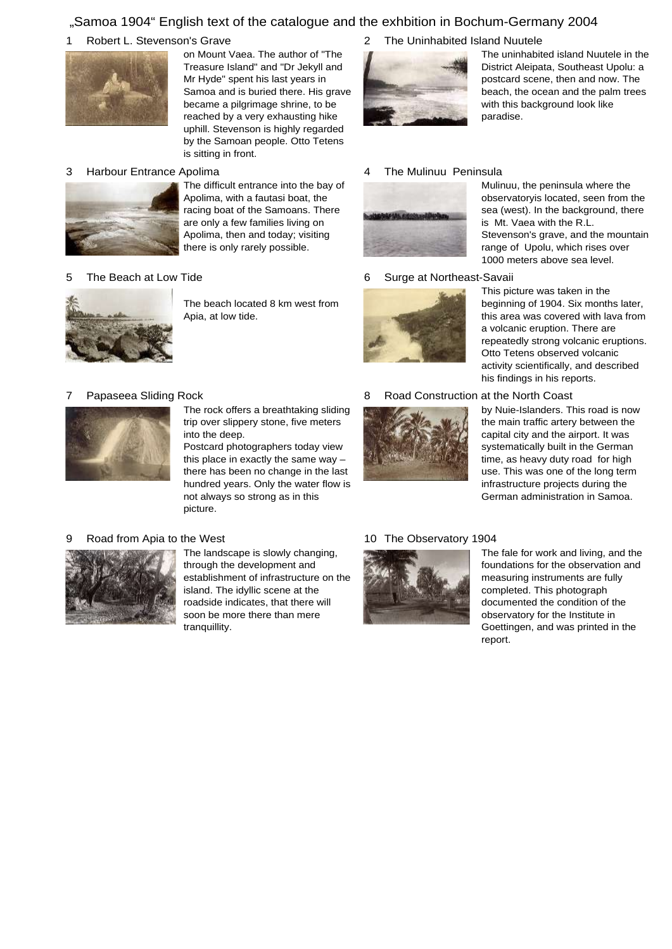## "Samoa 1904" English text of the catalogue and the exhbition in Bochum-Germany 2004

#### 1 Robert L. Stevenson's Grave 2



on Mount Vaea. The author of "The Treasure Island" and "Dr Jekyll and Mr Hyde" spent his last years in Samoa and is buried there. His grave became a pilgrimage shrine, to be reached by a very exhausting hike uphill. Stevenson is highly regarded by the Samoan people. Otto Tetens is sitting in front.

#### 3 Harbour Entrance Apolima 4



The difficult entrance into the bay of Apolima, with a fautasi boat, the racing boat of the Samoans. There are only a few families living on Apolima, then and today; visiting there is only rarely possible.

#### 5 The Beach at Low Tide 6



The beach located 8 km west from Apia, at low tide.

#### 7 Papaseea Sliding Rock 8



The rock offers a breathtaking sliding trip over slippery stone, five meters into the deep.

Postcard photographers today view this place in exactly the same way – there has been no change in the last hundred years. Only the water flow is not always so strong as in this picture.

#### 9 Road from Apia to the West



The landscape is slowly changing, through the development and establishment of infrastructure on the island. The idyllic scene at the roadside indicates, that there will soon be more there than mere tranquillity.

#### The Uninhabited Island Nuutele



The uninhabited island Nuutele in the District Aleipata, Southeast Upolu: a postcard scene, then and now. The beach, the ocean and the palm trees with this background look like paradise.

Mulinuu, the peninsula where the observatoryis located, seen from the sea (west). In the background, there

is Mt. Vaea with the R.L.

### The Mulinuu Peninsula



### Surge at Northeast-Savaii



range of Upolu, which rises over 1000 meters above sea level. This picture was taken in the beginning of 1904. Six months later, this area was covered with lava from a volcanic eruption. There are

Stevenson's grave, and the mountain

repeatedly strong volcanic eruptions. Otto Tetens observed volcanic activity scientifically, and described his findings in his reports.

#### Road Construction at the North Coast



by Nuie-Islanders. This road is now the main traffic artery between the capital city and the airport. It was systematically built in the German time, as heavy duty road for high use. This was one of the long term infrastructure projects during the German administration in Samoa.

### 10 The Observatory 1904



The fale for work and living, and the foundations for the observation and measuring instruments are fully completed. This photograph documented the condition of the observatory for the Institute in Goettingen, and was printed in the report.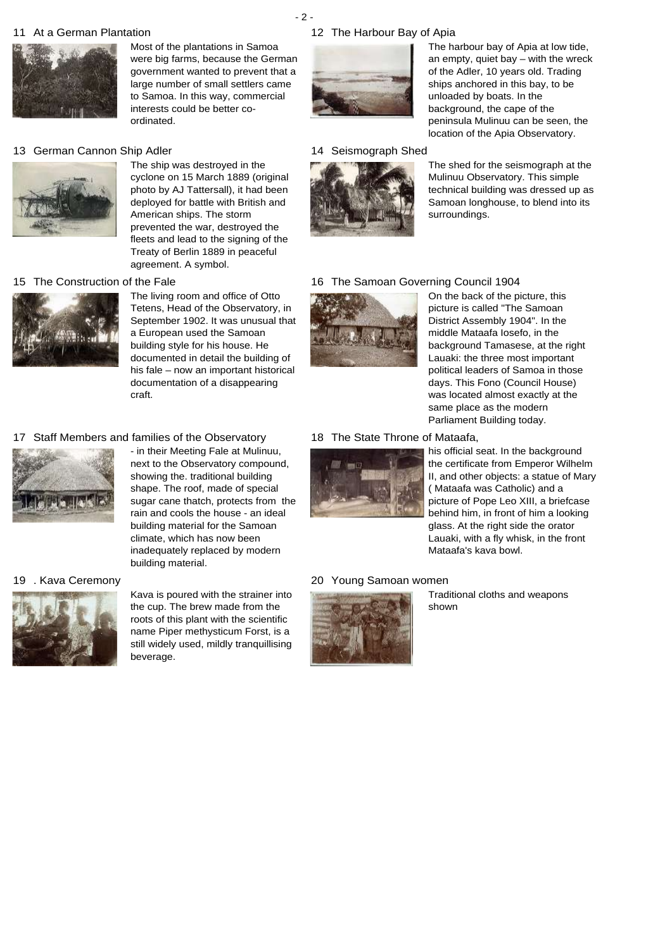## 11 At a German Plantation 12



Most of the plantations in Samoa were big farms, because the German government wanted to prevent that a large number of small settlers came to Samoa. In this way, commercial interests could be better coordinated.

### 13 German Cannon Ship Adler 14



The ship was destroyed in the cyclone on 15 March 1889 (original photo by AJ Tattersall), it had been deployed for battle with British and American ships. The storm prevented the war, destroyed the fleets and lead to the signing of the Treaty of Berlin 1889 in peaceful agreement. A symbol.

#### 15 The Construction of the Fale 16 16



Tetens, Head of the Observatory, in September 1902. It was unusual that a European used the Samoan building style for his house. He documented in detail the building of his fale – now an important historical documentation of a disappearing craft.

The living room and office of Otto

### 17 Staff Members and families of the Observatory 18



next to the Observatory compound, showing the. traditional building shape. The roof, made of special sugar cane thatch, protects from the rain and cools the house - an ideal building material for the Samoan climate, which has now been inadequately replaced by modern building material.

- in their Meeting Fale at Mulinuu,

#### 19 . Kava Ceremony



Kava is poured with the strainer into the cup. The brew made from the roots of this plant with the scientific name Piper methysticum Forst, is a still widely used, mildly tranquillising beverage.

## 12 The Harbour Bay of Apia



The harbour bay of Apia at low tide, an empty, quiet bay – with the wreck of the Adler, 10 years old. Trading ships anchored in this bay, to be unloaded by boats. In the background, the cape of the peninsula Mulinuu can be seen, the location of the Apia Observatory.

Seismograph Shed



The shed for the seismograph at the Mulinuu Observatory. This simple technical building was dressed up as Samoan longhouse, to blend into its surroundings.

### 16 The Samoan Governing Council 1904



On the back of the picture, this picture is called "The Samoan District Assembly 1904". In the middle Mataafa Iosefo, in the background Tamasese, at the right Lauaki: the three most important political leaders of Samoa in those days. This Fono (Council House) was located almost exactly at the same place as the modern Parliament Building today.

#### 18 The State Throne of Mataafa,



his official seat. In the background the certificate from Emperor Wilhelm II, and other objects: a statue of Mary ( Mataafa was Catholic) and a picture of Pope Leo XIII, a briefcase behind him, in front of him a looking glass. At the right side the orator Lauaki, with a fly whisk, in the front Mataafa's kava bowl.

#### Young Samoan women



Traditional cloths and weapons shown

### - 2 -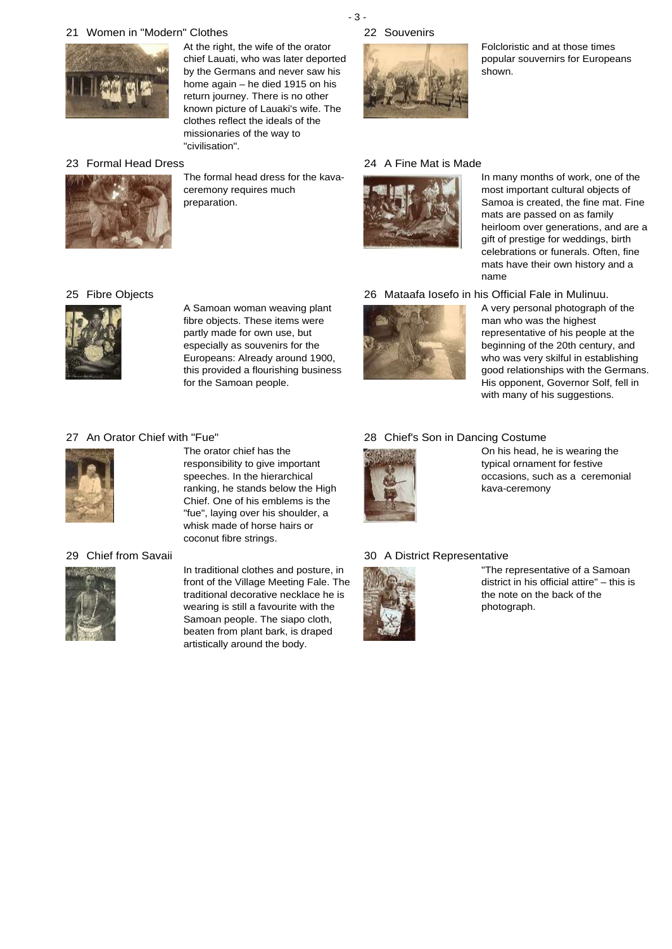## 21 Women in "Modern" Clothes 22



At the right, the wife of the orator chief Lauati, who was later deported by the Germans and never saw his home again – he died 1915 on his return journey. There is no other known picture of Lauaki's wife. The clothes reflect the ideals of the missionaries of the way to "civilisation".

## 23 Formal Head Dress 24



The formal head dress for the kavaceremony requires much preparation.

### - 3 - 22 Souvenirs



Folcloristic and at those times popular souvernirs for Europeans shown.

## 24 A Fine Mat is Made



In many months of work, one of the most important cultural objects of Samoa is created, the fine mat. Fine mats are passed on as family heirloom over generations, and are a gift of prestige for weddings, birth celebrations or funerals. Often, fine mats have their own history and a name

26 Mataafa Iosefo in his Official Fale in Mulinuu.



A very personal photograph of the man who was the highest representative of his people at the beginning of the 20th century, and who was very skilful in establishing good relationships with the Germans. His opponent, Governor Solf, fell in with many of his suggestions.

# 25 Fibre Objects 26



A Samoan woman weaving plant fibre objects. These items were partly made for own use, but especially as souvenirs for the Europeans: Already around 1900, this provided a flourishing business for the Samoan people.

# 28 Chief's Son in Dancing Costume



On his head, he is wearing the typical ornament for festive occasions, such as a ceremonial kava-ceremony

### A District Representative



"The representative of a Samoan district in his official attire" – this is the note on the back of the photograph.



The orator chief has the responsibility to give important speeches. In the hierarchical ranking, he stands below the High Chief. One of his emblems is the "fue", laying over his shoulder, a whisk made of horse hairs or coconut fibre strings.

### 29 Chief from Savaii 30



In traditional clothes and posture, in front of the Village Meeting Fale. The traditional decorative necklace he is wearing is still a favourite with the Samoan people. The siapo cloth, beaten from plant bark, is draped artistically around the body.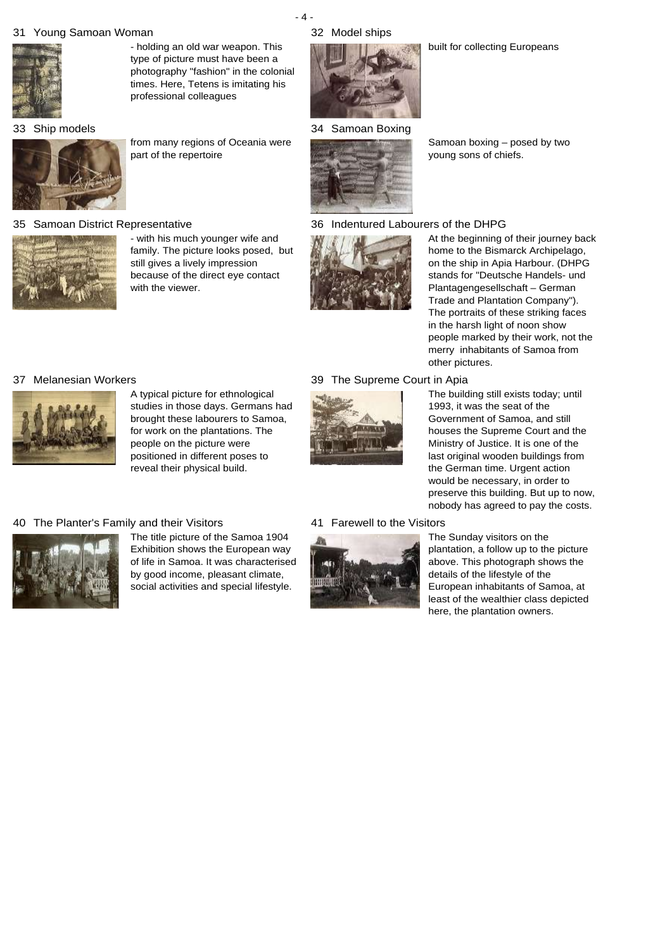## 31 Young Samoan Woman 32



- holding an old war weapon. This type of picture must have been a photography "fashion" in the colonial times. Here, Tetens is imitating his professional colleagues

33 Ship models



from many regions of Oceania were part of the repertoire

#### 35 Samoan District Representative 36



- with his much younger wife and family. The picture looks posed, but still gives a lively impression because of the direct eye contact with the viewer.

## 32 Model ships

- 4 -



34 Samoan Boxing



Samoan boxing – posed by two young sons of chiefs.

### Indentured Labourers of the DHPG



At the beginning of their journey back home to the Bismarck Archipelago, on the ship in Apia Harbour. (DHPG stands for "Deutsche Handels- und Plantagengesellschaft – German Trade and Plantation Company"). The portraits of these striking faces in the harsh light of noon show people marked by their work, not the merry inhabitants of Samoa from other pictures.

#### 37 Melanesian Workers 39 39 The Supreme Court in Apia



A typical picture for ethnological studies in those days. Germans had brought these labourers to Samoa, for work on the plantations. The people on the picture were positioned in different poses to reveal their physical build.

### 40 The Planter's Family and their Visitors 41



The title picture of the Samoa 1904 Exhibition shows the European way of life in Samoa. It was characterised by good income, pleasant climate, social activities and special lifestyle.



The building still exists today; until 1993, it was the seat of the Government of Samoa, and still houses the Supreme Court and the Ministry of Justice. It is one of the last original wooden buildings from the German time. Urgent action would be necessary, in order to preserve this building. But up to now, nobody has agreed to pay the costs.

### 41 Farewell to the Visitors



The Sunday visitors on the plantation, a follow up to the picture above. This photograph shows the details of the lifestyle of the European inhabitants of Samoa, at least of the wealthier class depicted here, the plantation owners.

### built for collecting Europeans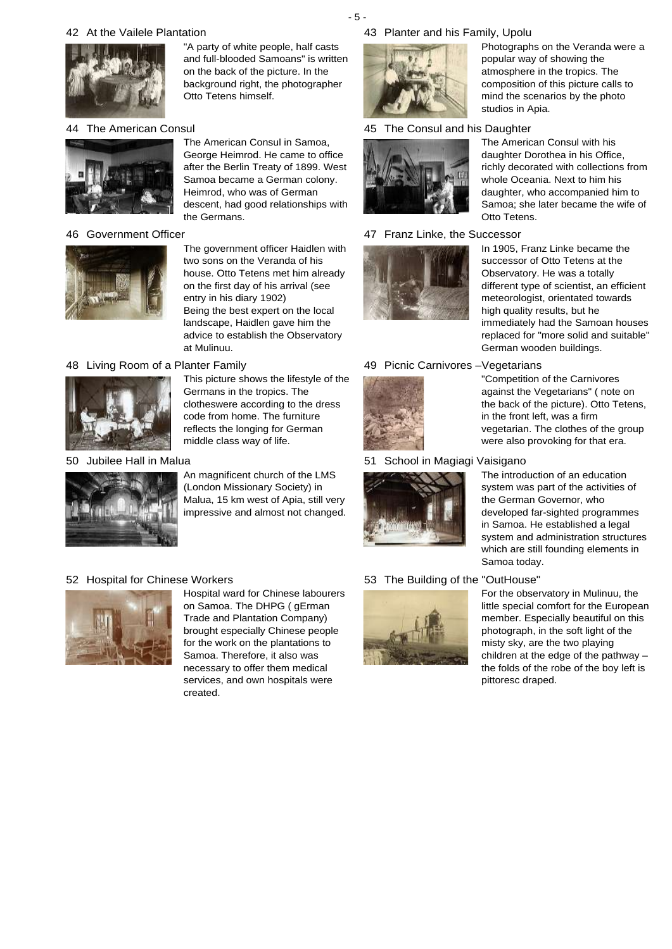## 42 At the Vailele Plantation 43



"A party of white people, half casts and full-blooded Samoans" is written on the back of the picture. In the background right, the photographer Otto Tetens himself.

The American Consul in Samoa, George Heimrod. He came to office after the Berlin Treaty of 1899. West Samoa became a German colony. Heimrod, who was of German descent, had good relationships with

the Germans.

### 44 The American Consul 45



### 46 Government Officer and the state of the 47



The government officer Haidlen with two sons on the Veranda of his house. Otto Tetens met him already on the first day of his arrival (see entry in his diary 1902) Being the best expert on the local landscape, Haidlen gave him the advice to establish the Observatory at Mulinuu.

### 48 Living Room of a Planter Family 49



This picture shows the lifestyle of the Germans in the tropics. The clotheswere according to the dress code from home. The furniture reflects the longing for German middle class way of life.

### 50 Jubilee Hall in Malua 51



An magnificent church of the LMS (London Missionary Society) in Malua, 15 km west of Apia, still very impressive and almost not changed.

### 52 Hospital for Chinese Workers 53



Hospital ward for Chinese labourers on Samoa. The DHPG ( gErman Trade and Plantation Company) brought especially Chinese people for the work on the plantations to Samoa. Therefore, it also was necessary to offer them medical services, and own hospitals were created.

### Planter and his Family, Upolu



### The Consul and his Daughter



### 47 Franz Linke, the Successor



whole Oceania. Next to him his daughter, who accompanied him to Samoa; she later became the wife of Otto Tetens. In 1905, Franz Linke became the

Photographs on the Veranda were a

popular way of showing the atmosphere in the tropics. The composition of this picture calls to mind the scenarios by the photo

The American Consul with his daughter Dorothea in his Office, richly decorated with collections from

studios in Apia.

successor of Otto Tetens at the Observatory. He was a totally different type of scientist, an efficient meteorologist, orientated towards high quality results, but he immediately had the Samoan houses replaced for "more solid and suitable" German wooden buildings.

"Competition of the Carnivores against the Vegetarians" ( note on the back of the picture). Otto Tetens,

in the front left, was a firm

### 49 Picnic Carnivores -Vegetarians



### 51 School in Magiagi Vaisigano



## 53 The Building of the "OutHouse"



The introduction of an education system was part of the activities of the German Governor, who developed far-sighted programmes in Samoa. He established a legal system and administration structures which are still founding elements in Samoa today.

vegetarian. The clothes of the group were also provoking for that era.

For the observatory in Mulinuu, the little special comfort for the European member. Especially beautiful on this photograph, in the soft light of the misty sky, are the two playing children at the edge of the pathway – the folds of the robe of the boy left is pittoresc draped.

- 5 -